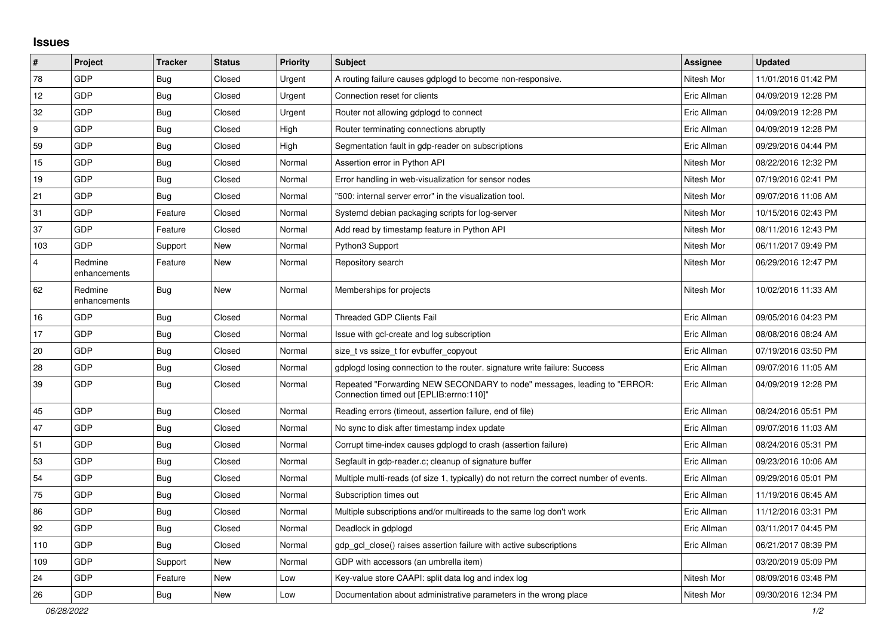## **Issues**

| $\pmb{\#}$     | Project                 | <b>Tracker</b> | <b>Status</b> | <b>Priority</b> | <b>Subject</b>                                                                                                      | Assignee    | <b>Updated</b>      |
|----------------|-------------------------|----------------|---------------|-----------------|---------------------------------------------------------------------------------------------------------------------|-------------|---------------------|
| 78             | GDP                     | <b>Bug</b>     | Closed        | Urgent          | A routing failure causes gdplogd to become non-responsive.                                                          | Nitesh Mor  | 11/01/2016 01:42 PM |
| 12             | GDP                     | <b>Bug</b>     | Closed        | Urgent          | Connection reset for clients                                                                                        | Eric Allman | 04/09/2019 12:28 PM |
| 32             | GDP                     | <b>Bug</b>     | Closed        | Urgent          | Router not allowing gdplogd to connect                                                                              | Eric Allman | 04/09/2019 12:28 PM |
| 9              | <b>GDP</b>              | Bug            | Closed        | High            | Router terminating connections abruptly                                                                             | Eric Allman | 04/09/2019 12:28 PM |
| 59             | GDP                     | <b>Bug</b>     | Closed        | High            | Segmentation fault in gdp-reader on subscriptions                                                                   | Eric Allman | 09/29/2016 04:44 PM |
| 15             | GDP                     | <b>Bug</b>     | Closed        | Normal          | Assertion error in Python API                                                                                       | Nitesh Mor  | 08/22/2016 12:32 PM |
| 19             | GDP                     | <b>Bug</b>     | Closed        | Normal          | Error handling in web-visualization for sensor nodes                                                                | Nitesh Mor  | 07/19/2016 02:41 PM |
| 21             | GDP                     | Bug            | Closed        | Normal          | '500: internal server error" in the visualization tool.                                                             | Nitesh Mor  | 09/07/2016 11:06 AM |
| 31             | GDP                     | Feature        | Closed        | Normal          | Systemd debian packaging scripts for log-server                                                                     | Nitesh Mor  | 10/15/2016 02:43 PM |
| 37             | GDP                     | Feature        | Closed        | Normal          | Add read by timestamp feature in Python API                                                                         | Nitesh Mor  | 08/11/2016 12:43 PM |
| 103            | GDP                     | Support        | New           | Normal          | Python3 Support                                                                                                     | Nitesh Mor  | 06/11/2017 09:49 PM |
| $\overline{4}$ | Redmine<br>enhancements | Feature        | New           | Normal          | Repository search                                                                                                   | Nitesh Mor  | 06/29/2016 12:47 PM |
| 62             | Redmine<br>enhancements | <b>Bug</b>     | New           | Normal          | Memberships for projects                                                                                            | Nitesh Mor  | 10/02/2016 11:33 AM |
| 16             | GDP                     | Bug            | Closed        | Normal          | <b>Threaded GDP Clients Fail</b>                                                                                    | Eric Allman | 09/05/2016 04:23 PM |
| 17             | <b>GDP</b>              | <b>Bug</b>     | Closed        | Normal          | Issue with gcl-create and log subscription                                                                          | Eric Allman | 08/08/2016 08:24 AM |
| 20             | GDP                     | Bug            | Closed        | Normal          | size t vs ssize t for evbuffer copyout                                                                              | Eric Allman | 07/19/2016 03:50 PM |
| 28             | GDP                     | <b>Bug</b>     | Closed        | Normal          | gdplogd losing connection to the router. signature write failure: Success                                           | Eric Allman | 09/07/2016 11:05 AM |
| 39             | GDP                     | Bug            | Closed        | Normal          | Repeated "Forwarding NEW SECONDARY to node" messages, leading to "ERROR:<br>Connection timed out [EPLIB:errno:110]" | Eric Allman | 04/09/2019 12:28 PM |
| 45             | <b>GDP</b>              | Bug            | Closed        | Normal          | Reading errors (timeout, assertion failure, end of file)                                                            | Eric Allman | 08/24/2016 05:51 PM |
| 47             | GDP                     | <b>Bug</b>     | Closed        | Normal          | No sync to disk after timestamp index update                                                                        | Eric Allman | 09/07/2016 11:03 AM |
| 51             | GDP                     | Bug            | Closed        | Normal          | Corrupt time-index causes gdplogd to crash (assertion failure)                                                      | Eric Allman | 08/24/2016 05:31 PM |
| 53             | GDP                     | <b>Bug</b>     | Closed        | Normal          | Segfault in gdp-reader.c; cleanup of signature buffer                                                               | Eric Allman | 09/23/2016 10:06 AM |
| 54             | GDP                     | <b>Bug</b>     | Closed        | Normal          | Multiple multi-reads (of size 1, typically) do not return the correct number of events.                             | Eric Allman | 09/29/2016 05:01 PM |
| 75             | GDP                     | <b>Bug</b>     | Closed        | Normal          | Subscription times out                                                                                              | Eric Allman | 11/19/2016 06:45 AM |
| 86             | <b>GDP</b>              | Bug            | Closed        | Normal          | Multiple subscriptions and/or multireads to the same log don't work                                                 | Eric Allman | 11/12/2016 03:31 PM |
| 92             | GDP                     | Bug            | Closed        | Normal          | Deadlock in gdplogd                                                                                                 | Eric Allman | 03/11/2017 04:45 PM |
| 110            | GDP                     | Bug            | Closed        | Normal          | gdp gcl close() raises assertion failure with active subscriptions                                                  | Eric Allman | 06/21/2017 08:39 PM |
| 109            | GDP                     | Support        | New           | Normal          | GDP with accessors (an umbrella item)                                                                               |             | 03/20/2019 05:09 PM |
| 24             | GDP                     | Feature        | New           | Low             | Key-value store CAAPI: split data log and index log                                                                 | Nitesh Mor  | 08/09/2016 03:48 PM |
| 26             | GDP                     | Bug            | New           | Low             | Documentation about administrative parameters in the wrong place                                                    | Nitesh Mor  | 09/30/2016 12:34 PM |